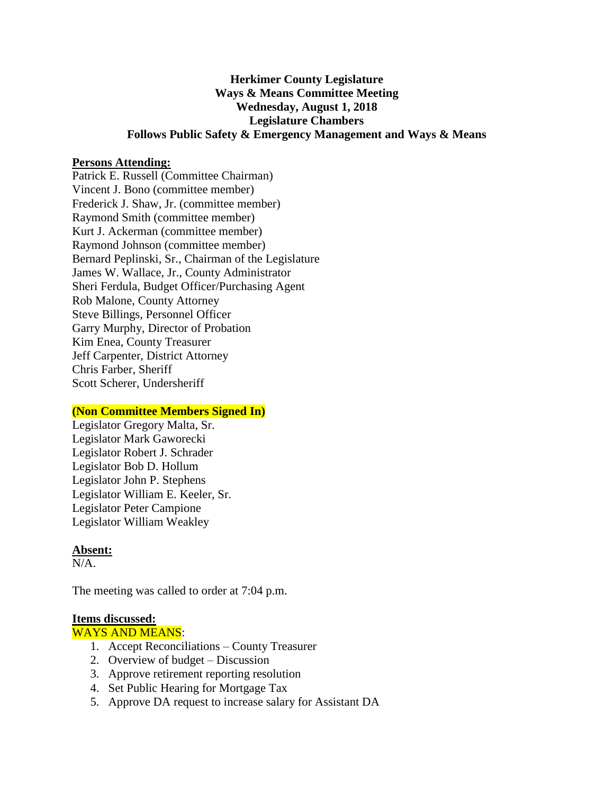# **Herkimer County Legislature Ways & Means Committee Meeting Wednesday, August 1, 2018 Legislature Chambers Follows Public Safety & Emergency Management and Ways & Means**

#### **Persons Attending:**

Patrick E. Russell (Committee Chairman) Vincent J. Bono (committee member) Frederick J. Shaw, Jr. (committee member) Raymond Smith (committee member) Kurt J. Ackerman (committee member) Raymond Johnson (committee member) Bernard Peplinski, Sr., Chairman of the Legislature James W. Wallace, Jr., County Administrator Sheri Ferdula, Budget Officer/Purchasing Agent Rob Malone, County Attorney Steve Billings, Personnel Officer Garry Murphy, Director of Probation Kim Enea, County Treasurer Jeff Carpenter, District Attorney Chris Farber, Sheriff Scott Scherer, Undersheriff

#### **(Non Committee Members Signed In)**

Legislator Gregory Malta, Sr. Legislator Mark Gaworecki Legislator Robert J. Schrader Legislator Bob D. Hollum Legislator John P. Stephens Legislator William E. Keeler, Sr. Legislator Peter Campione Legislator William Weakley

## **Absent:**

N/A.

The meeting was called to order at 7:04 p.m.

#### **Items discussed:**

WAYS AND MEANS:

- 1. Accept Reconciliations County Treasurer
- 2. Overview of budget Discussion
- 3. Approve retirement reporting resolution
- 4. Set Public Hearing for Mortgage Tax
- 5. Approve DA request to increase salary for Assistant DA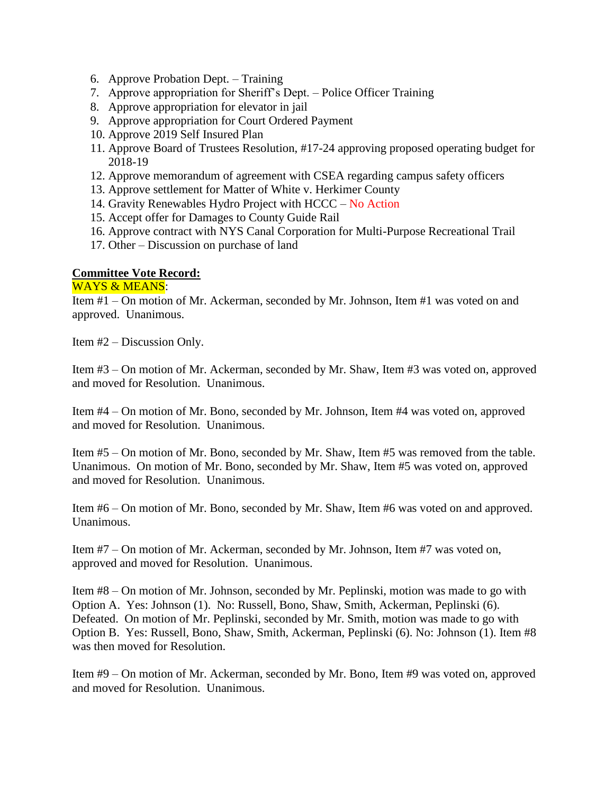- 6. Approve Probation Dept. Training
- 7. Approve appropriation for Sheriff's Dept. Police Officer Training
- 8. Approve appropriation for elevator in jail
- 9. Approve appropriation for Court Ordered Payment
- 10. Approve 2019 Self Insured Plan
- 11. Approve Board of Trustees Resolution, #17-24 approving proposed operating budget for 2018-19
- 12. Approve memorandum of agreement with CSEA regarding campus safety officers
- 13. Approve settlement for Matter of White v. Herkimer County
- 14. Gravity Renewables Hydro Project with HCCC No Action
- 15. Accept offer for Damages to County Guide Rail
- 16. Approve contract with NYS Canal Corporation for Multi-Purpose Recreational Trail
- 17. Other Discussion on purchase of land

## **Committee Vote Record:**

## WAYS & MEANS:

Item #1 – On motion of Mr. Ackerman, seconded by Mr. Johnson, Item #1 was voted on and approved. Unanimous.

Item #2 – Discussion Only.

Item #3 – On motion of Mr. Ackerman, seconded by Mr. Shaw, Item #3 was voted on, approved and moved for Resolution. Unanimous.

Item #4 – On motion of Mr. Bono, seconded by Mr. Johnson, Item #4 was voted on, approved and moved for Resolution. Unanimous.

Item #5 – On motion of Mr. Bono, seconded by Mr. Shaw, Item #5 was removed from the table. Unanimous. On motion of Mr. Bono, seconded by Mr. Shaw, Item #5 was voted on, approved and moved for Resolution. Unanimous.

Item #6 – On motion of Mr. Bono, seconded by Mr. Shaw, Item #6 was voted on and approved. Unanimous.

Item #7 – On motion of Mr. Ackerman, seconded by Mr. Johnson, Item #7 was voted on, approved and moved for Resolution. Unanimous.

Item #8 – On motion of Mr. Johnson, seconded by Mr. Peplinski, motion was made to go with Option A. Yes: Johnson (1). No: Russell, Bono, Shaw, Smith, Ackerman, Peplinski (6). Defeated. On motion of Mr. Peplinski, seconded by Mr. Smith, motion was made to go with Option B. Yes: Russell, Bono, Shaw, Smith, Ackerman, Peplinski (6). No: Johnson (1). Item #8 was then moved for Resolution.

Item #9 – On motion of Mr. Ackerman, seconded by Mr. Bono, Item #9 was voted on, approved and moved for Resolution. Unanimous.